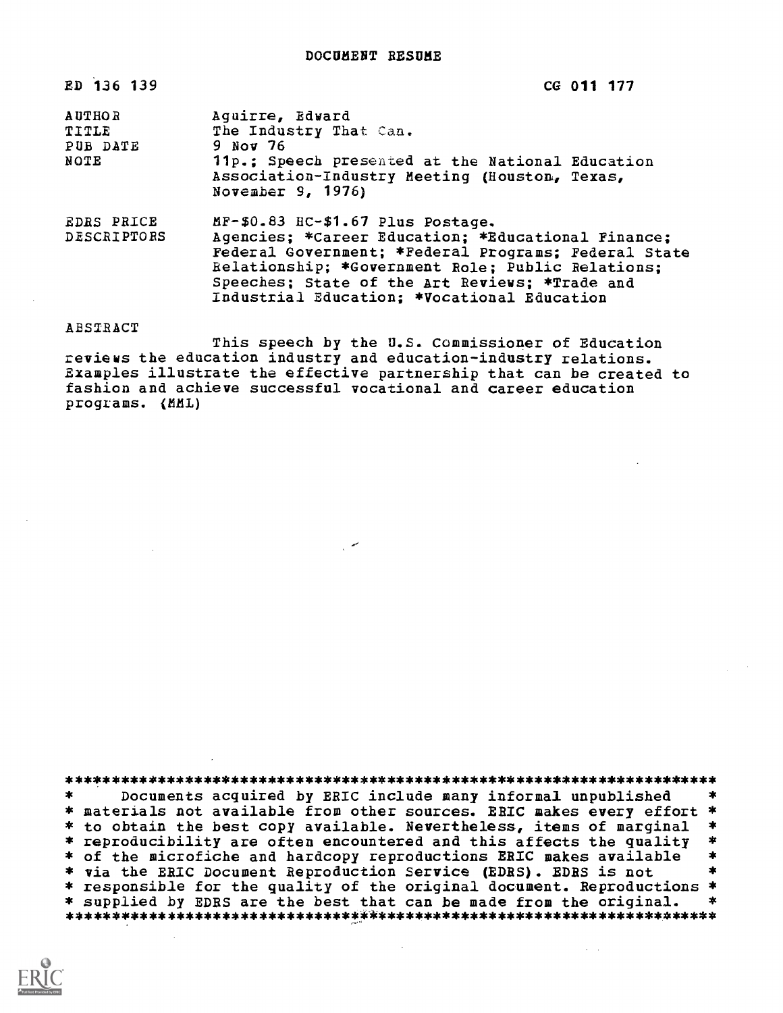ED 136 139 CG 011 177

| <b>AUTHOR</b><br>TITLE<br>PUB DATE<br>NOTE | Aquirre, Edward<br>The Industry That Can.<br>9 Nov 76<br>11p.: Speech presented at the National Education<br>Association-Industry Meeting (Houston, Texas,<br>November 9, 1976) |
|--------------------------------------------|---------------------------------------------------------------------------------------------------------------------------------------------------------------------------------|
| <b>EDRS PRICE</b><br>DESCRIPTORS           | MF-\$0.83 HC-\$1.67 Plus Postage.<br>Agencies: *Career Education: *Educational Finance:<br>Poderal Covernment: *Poderal Dreamanc: Poderal Ctate                                 |

Federal Government; \*Federal Programs; Federal State Relationship; \*Government Role; Public Relations; Speeches; State of the Art Reviews; \*Trade and Industrial Education; \*Vocational Education

ABSIRACT

This speech by the U.S. Commissioner of Education reviews the education industry and education-industry relations. Examples illustrate the effective partnership that can be created to fashion and achieve successful vocational and career education programs. (MML)

\*\*\*\*\*\*\*\*\*\*\*\*\*\*\*\*\*\*\*\*\*\*\*\*\*\*\*\*\*\*\*\*\*\*\*\*\*\*\*\*\*\*\*\*\*\*\*\*\*\*\*\*\*\*\*\*\*\*\*\*\*\*\*\*\*\*\*\*\*\*\* Documents acquired by ERIC include many informal unpublished \* materials not available from other sources. ERIC makes every effort \* \* to obtain the best copy available. Nevertheless, items of marginal \*<br>\* reproducibility are often encountered and this affects the quality \* \* of the microfiche and hardcopy reproductions ERIC makes available \* \* via the ERIC Document Reproduction Service (EDRS). EDRS is not \* responsible for the quality of the original document. Reproductions \*<br>\* supplied by EDRS are the best that can be made from the original. \* \* supplied by EDRS are the best that can be made from the original. \*\*\*\*\*\*\*\*\*\*\*\*\*\*\*\*\*\*\*\*\*\*\*\*\*\*\*\*\*\*\*\*\*\*\*\*\*\*\*\*\*\*\*\*\*\*\*\*\*\*\*\*\*\*\*\*\*\*\*\*\*\*\*\*\*\*\*\*\*\*\*

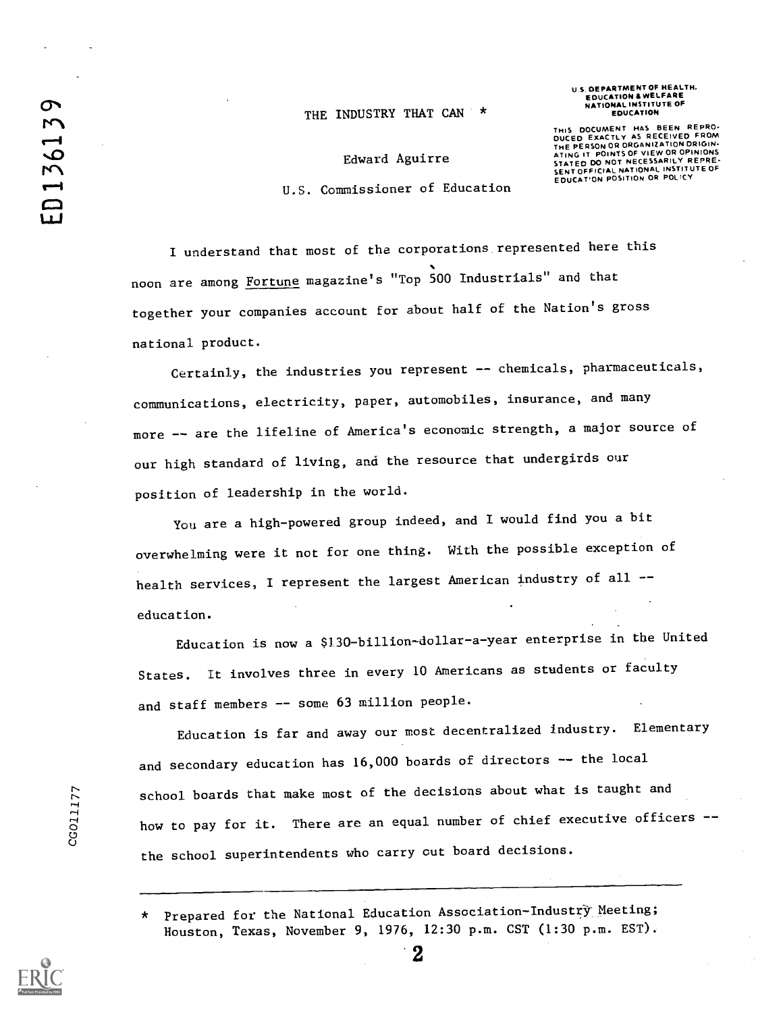## THE INDUSTRY THAT CAN \*

U S. DEPARTMENT OF HEALTH, EDUCATION &WELFARE NATIONAL INSTITUTE OF EDUCATION

Edward Aguirre U.S. Commissioner of Education THIS DOCUMENT HAS BEEN REPRO-<br>DUCED EXACTLY AS RECEIVED FROM<br>THE PERSON OR ORGANIZATION DRIGIN-<br>ATING IT POINTS OF VIEW OR OPINIONS STATED DO NOT NECESSARILY REPRE-SENT OFFICIAL NATIONAL INSTITUTE OF EDUCAT'ON POSITION OR POLICY

I understand that most of the corporations represented here this noon are among Fortune magazine's "Top 500 Industrials" and that together your companies account for about half of the Nation's gross national product.

Certainly, the industries you represent -- chemicals, pharmaceuticals, communications, electricity, paper, automobiles, insurance, and many more -- are the lifeline of America's economic strength, a major source of our high standard of living, and the resource that undergirds our position of leadership in the world.

You are a high-powered group indeed, and I would find you a bit overwhelming were it not for one thing. With the possible exception of health services, I represent the largest American industry of all -education.

Education is now a \$130-billion-dollar-a-year enterprise in the United StateS. It involves three in every 10 Americans as students or faculty and staff members -- some 63 million people.

Education is far and away our most decentralized industry. Elementary and secondary education has 16,000 boards of directors -- the local school boards that make most of the decisions about what is taught and how to pay for it. There are an equal number of chief executive officers -o di controllo di controllo di controllo di controllo di controllo di controllo di controllo di controllo di c<br>Controllo di controllo di controllo di controllo di controllo di controllo di controllo di controllo di contro the school superintendents who carry out board decisions.

> Prepared for the National Education Association-Industry Meeting; Houston, Texas, November 9, 1976, 12:30 p.m. CST (1:30 p.m. EST).

> > 2



CG011177

ED136139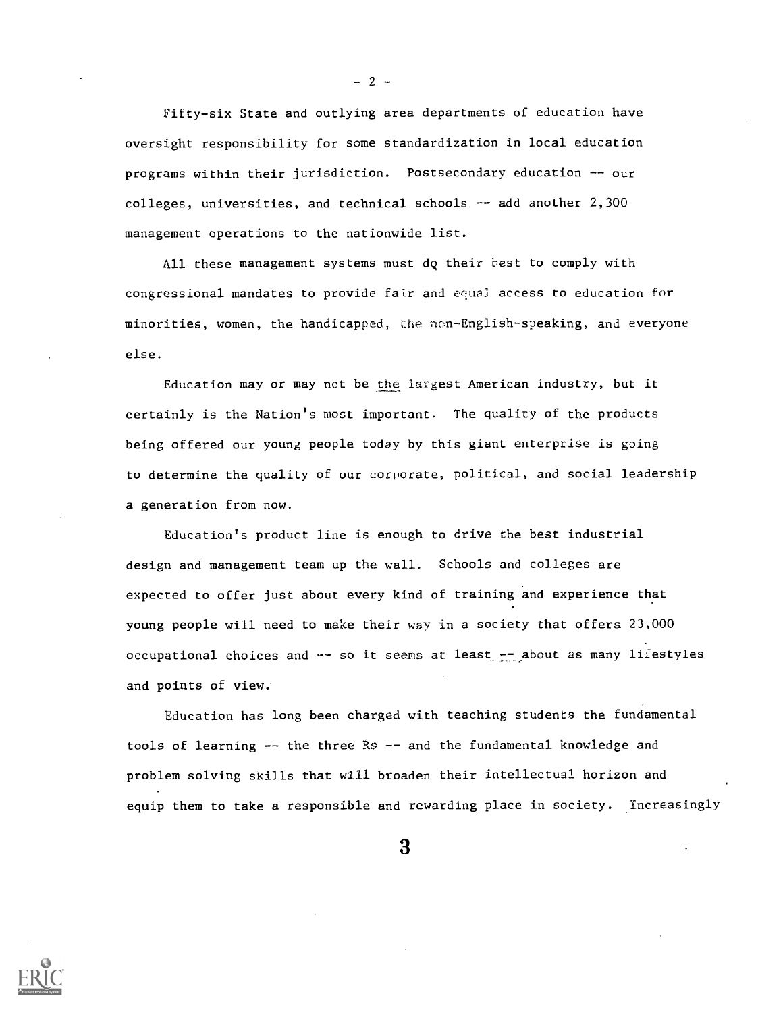Fifty-six State and outlying area departments of education have oversight responsibility for some standardization in local education programs within their jurisdiction. Postsecondary education -- our  $\text{colleges},$  universities, and technical schools -- add another  $2,300$ management operations to the nationwide list.

All these management systems must dq their best to comply with congressional mandates to provide fair and equal access to education for minorities, women, the handicapped, the ncm-English-speaking, and everyone else.

Education may or may not be the largest American industry, but it certainly is the Nation's most important. The quality of the products being offered our young people today by this giant enterprise is going to determine the quality of our corporate, political, and social leadership a generation from now.

Education's product line is enough to drive the best industrial design and management team up the wall. Schools and colleges are expected to offer just about every kind of training and experience that young people will need to make their way in a society that offers 23,000 occupational choices and -- so it seems at least -- about as many lifestyles and points of view..

Education has long been charged with teaching students the fundamental tools of learning -- the three Rs -- and the fundamental knowledge and problem solving skills that will broaden their intellectual horizon and equip them to take a responsible and rewarding place in society. Increasingly

3



 $-2 -$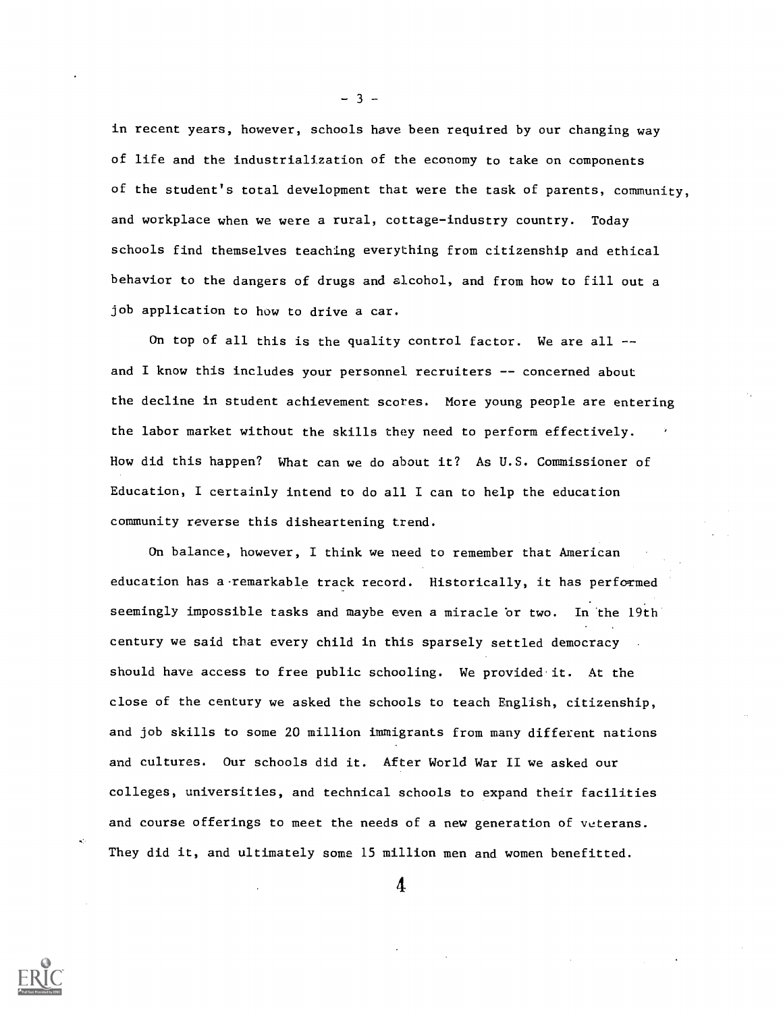in recent years, however, schools have been required by our changing way of life and the industrialization of the economy to take on components of the student's total development that were the task of parents, community, and workplace when we were a rural, cottage-industry country. Today schools find themselves teaching everything from citizenship and ethical behavior to the dangers of drugs and alcohol, and from how to fill out a job application to how to drive a car.

On top of all this is the quality control factor. We are all  $$ and I know this includes your personnel recruiters -- concerned about the decline in student achievement scores. More young people are entering the labor market without the skills they need to perform effectively. How did this happen? What can we do about it? As U.S. Commissioner of Education, I certainly intend to do all I can to help the education community reverse this disheartening trend.

On balance, however, I think we need to remember that American education has a remarkable track record. Historically, it has performed seemingly impossible tasks and maybe even a miracle 'or two. In the 19th century we said that every child in this sparsely settled democracy should have access to free public schooling. We provided it. At the close of the century we asked the schools to teach English, citizenship, and job skills to some 20 million immigrants from many different nations and cultures. Our schools did it. After World War II we asked our colleges, universities, and technical schools to expand their facilities and course offerings to meet the needs of a new generation of veterans. They did it, and ultimately some 15 million men and women benefitted.

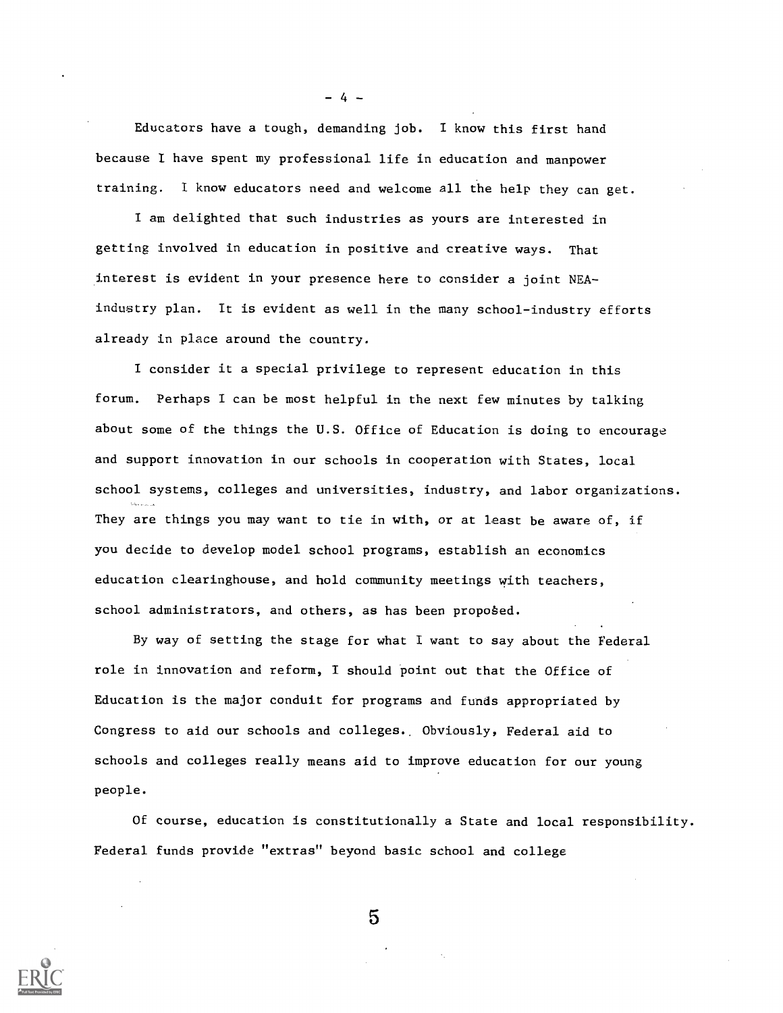Educators have a tough, demanding job. I know this first hand because I have spent my professional life in education and manpower training. I know educators need and welcome all the help they can get.

- 4 -

I am delighted that such industries as yours are interested in getting involved in education in positive and creative ways. That interest is evident in your presence here to consider a joint NEAindustry plan. It is evident as well in the many school-industry efforts already in place around the country.

I consider it a special privilege to represent education in this forum. Perhaps I can be most helpful in the next few minutes by talking about some of the things the U.S. Office of Education is doing to encourage and support innovation in our schools in cooperation with States, local school systems, colleges and universities, industry, and labor organizations. They are things you may want to tie in with, or at least be aware of, if you decide to develop model school programs, establish an economics education clearinghouse, and hold community meetings with teachers, school administrators, and others, as has been proposed.

By way of setting the stage for what I want to say about the Federal role in innovation and reform, I should point out that the Office of Education is the major conduit for programs and funds appropriated by Congress to aid our schools and colleges.. Obviously, Federal aid to schools and colleges really means aid to improve education for our young people.

Of course, education is constitutionally a State and local responsibility. Federal funds provide "extras" beyond basic school and college

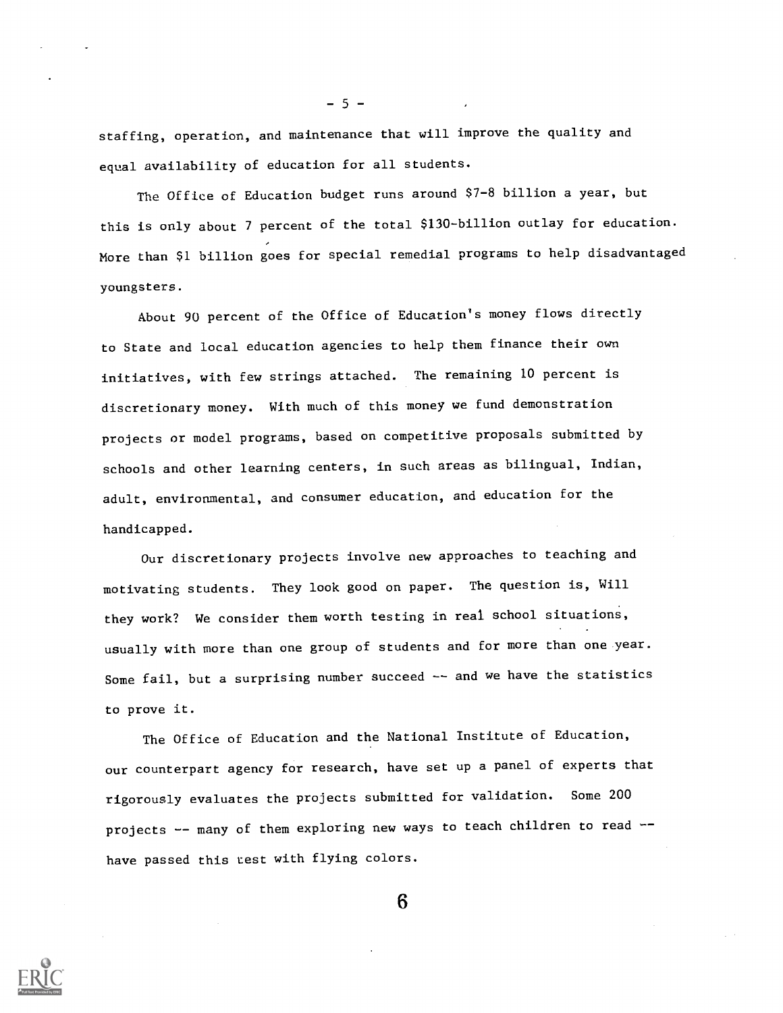staffing, operation, and maintenance that will improve the quality and equal availability of education for all students.

 $-5 -$ 

The Office of Education budget runs around \$7-8 billion a year, but this is only about 7 percent of the total \$130-billion outlay for education. More than \$1 billion goes for special remedial programs to help disadvantaged youngsters.

About 90 percent of the Office of Education's money flows directly to State and local education agencies to help them finance their own initiatives, with few strings attached. The remaining 10 percent is discretionary money. With much of this money we fund demonstration projects or model programs, based on competitive proposals submitted by schools and other learning centers, in such areas as bilingual, Indian, adult, environmental, and consumer education, and education for the handicapped.

Our discretionary projects involve new approaches to teaching and motivating students. They look good on paper. The question is, Will they work? We consider them worth testing in real school situations, usually with more than one group of students and for more than one year. Some fail, but a surprising number succeed -- and we have the statistics to prove it.

The Office of Education and the National Institute of Education, our counterpart agency for research, have set up a panel of experts that rigorously evaluates the projects submitted for validation. Some 200 projects -- many of them exploring new ways to teach children to read -have passed this test with flying colors.

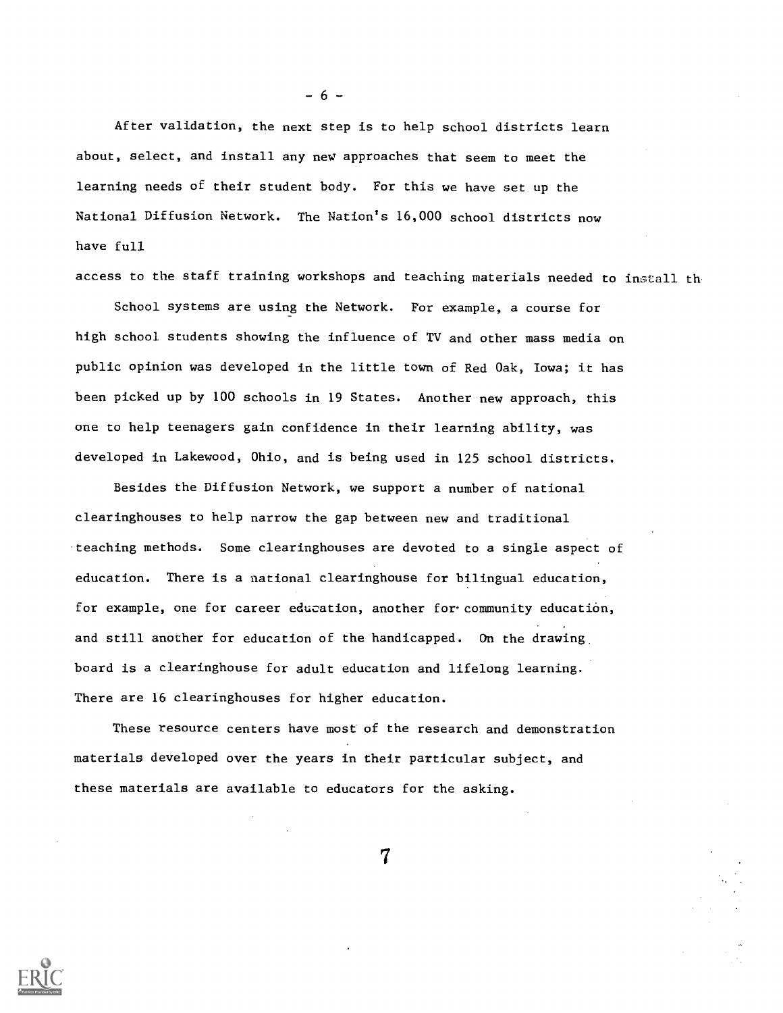After validation, the next step is to help school districts learn about, select, and install any new approaches that seem to meet the learning needs of their student body. For this we have set up the National Diffusion Network. The Nation's 16,000 school districts now have full

access to the staff training workshops and teaching materials needed to install th

School systems are using the Network. For example, a course for high school students showing the influence of TV and other mass media on public opinion was developed in the little town of Red Oak, Iowa; it has been picked up by 100 schools in 19 States. Another new approach, this one to help teenagers gain confidence in their learning ability, was developed in Lakewood, Ohio, and is being used in 125 school districts.

Besides the Diffusion Network, we support a number of national clearinghouses to help narrow the gap between new and traditional teaching methods. Some clearinghouses are devoted to a single aspect of education. There is a national clearinghouse for bilingual education, for example, one for career education, another for.community education, and still another for education of the handicapped. On the drawing board is a clearinghouse for adult education and lifelong learning. There are 16 clearinghouses for higher education.

These resource centers have most of the research and demonstration materials developed over the years in their particular subject, and these materials are available to educators for the asking.

7

- 6 -

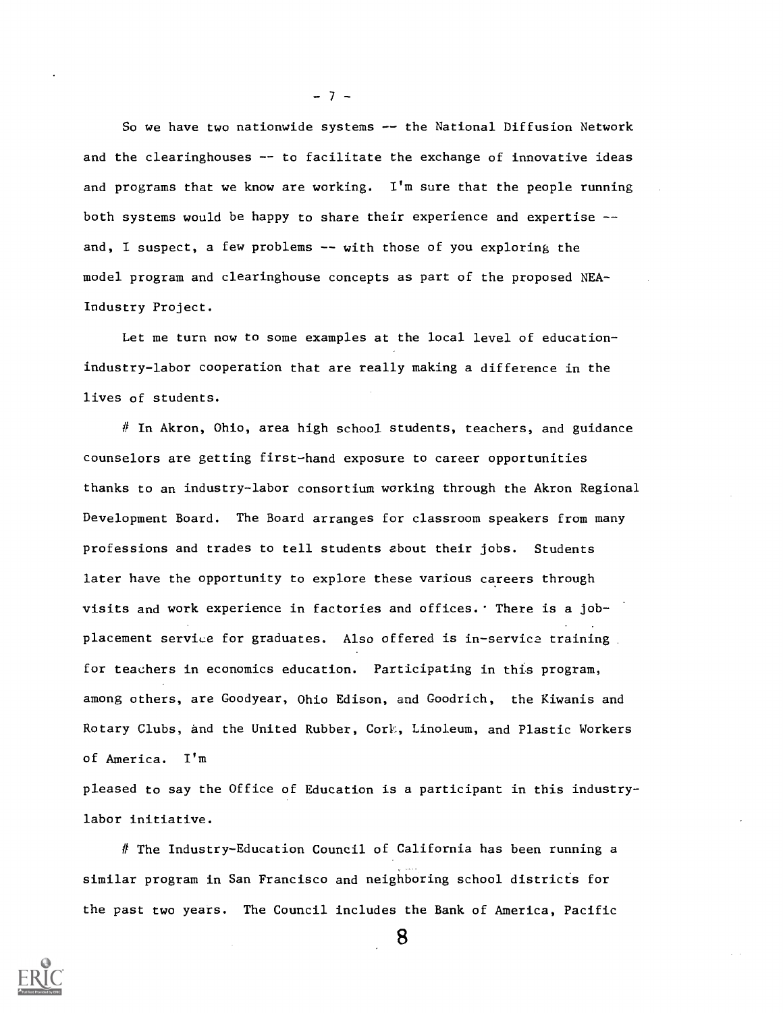So we have two nationwide systems -- the National Diffusion Network and the clearinghouses -- to facilitate the exchange of innovative ideas and programs that we know are working. I'm sure that the people running both systems would be happy to share their experience and expertise - and, I suspect, a few problems -- with those of you exploring the model program and clearinghouse concepts as part of the proposed NEA-Industry Project.

Let me turn now to some examples at the local level of educationindustry-labor cooperation that are really making a difference in the lives of students.

 $\#$  In Akron, Ohio, area high school students, teachers, and guidance counselors are getting first-hand exposure to career opportunities thanks to an industry-labor consortium working through the Akron Regional Development Board. The Board arranges for classroom speakers from many professions and trades to tell students about their jobs. Students later have the opportunity to explore these various careers through visits and work experience in factories and offices. There is a jobplacement service for graduates. Also offered is in-service training for teachers in economics education. Participating in this program, among others, are Goodyear, Ohio Edison, and Goodrich, the Kiwanis and Rotary Clubs, and the United Rubber, Cork, Linoleum, and Plastic Workers of America. I'm

pleased to say the Office of Education is a participant in this industrylabor initiative.

# The Industry-Education Council of California has been running a similar program in San Francisco and neighboring school districts for the past two years. The Council includes the Bank of America, Pacific



- 7 -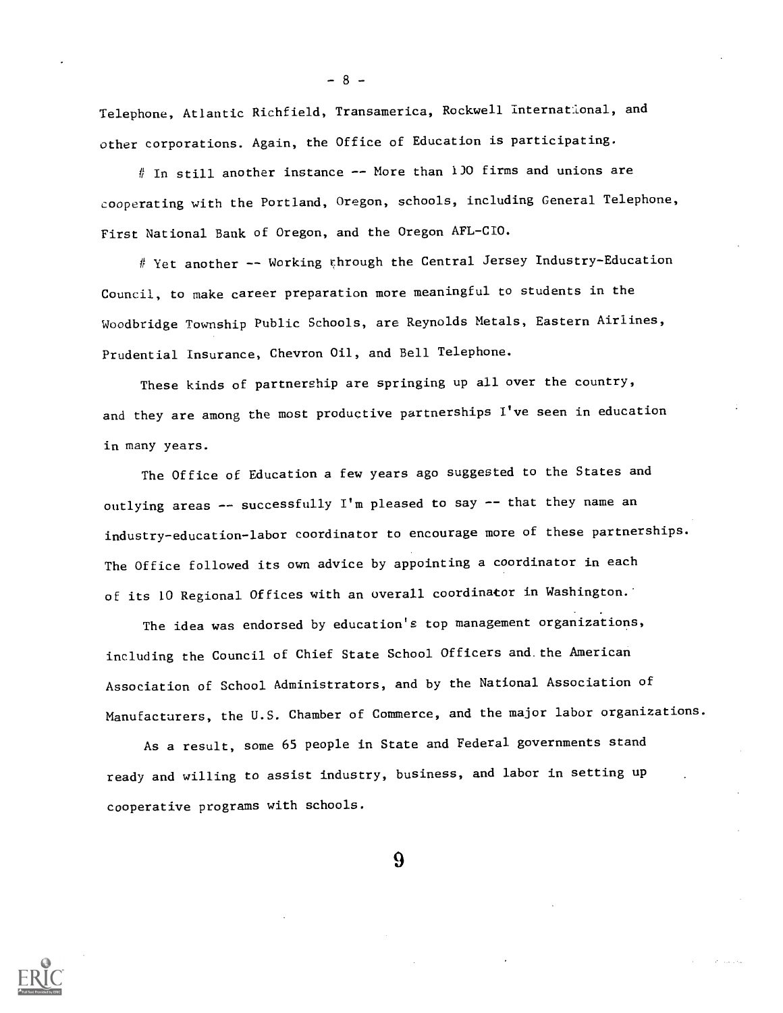Telephone, Atlantic Richfield, Transamerica, Rockwell international, and other corporations. Again, the Office of Education is participating.

# In still another instance -- More than 1)0 firms and unions are cooperating with the Portland, Oregon, schools, including General Telephone, First National Bank of Oregon, and the Oregon AFL-CIO.

# Yet another -- Working through the Central Jersey Industry-Education Council, to make career preparation more meaningful to students in the Woodbridge Township Public Schools, are Reynolds Metals, Eastern Airlines, Prudential Insurance, Chevron Oil, and Bell Telephone.

These kinds of partnership are springing up all over the country, and they are among the most productive partnerships I've seen in education in many years.

The Office of Education a few years ago suggested to the States and outlying areas -- successfully I'm pleased to say -- that they name an industry-education-labor coordinator to encourage more of these partnerships. The Office followed its own advice by appointing a coordinator in each of its 10 Regional Offices with an overall coordinator in Washington.'

The idea was endorsed by education's top management organizations, including the Council of Chief State School Officers and.the American Association of School Administrators, and by the National Association of Manufacturers, the U.S. Chamber of Commerce, and the major labor organizations.

As a result, some 65 people in State and Federal governments stand ready and willing to assist industry, business, and labor in setting up cooperative programs with schools.

**9** 



- 8 -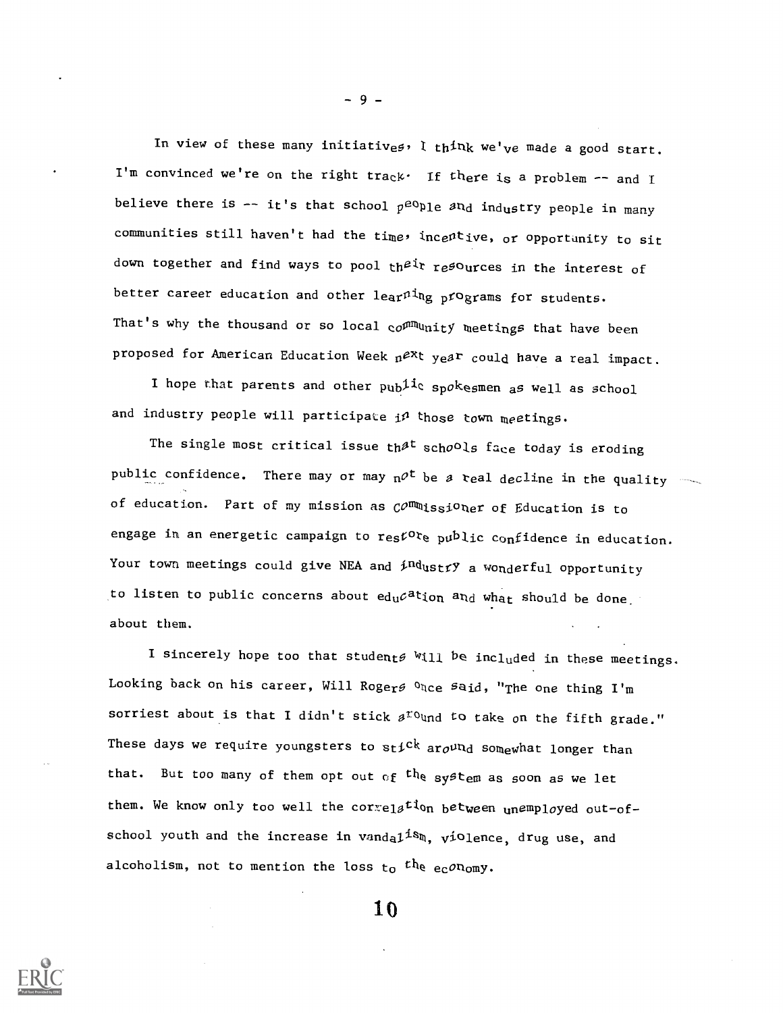In view of these many initiatives, I think we've made a good start. I'm convinced we're on the right track. If there is a problem  $-$  and I believe there is  $-$  it's that school  $p^{e0}$ Ple  $a_n$ d industry people in many communities still haven't had the time, incentive, or opportunity to sit down together and find ways to pool their resources in the interest of better career education and other  $leq_{\text{ar}} n i_{\text{ng}}$  programs for students. That's why the thousand or so local  $\text{co}^{\rho m}$  unity meetings that have been proposed for American Education Week  $n^{ex}$ t year could have a real impact.

I hope that parents and other  $pub$ <sup>1i</sup>c spokesmen as well as school and industry people will participate  $i^{\rho}$  those town meetings.

The single most critical issue th $A<sup>t</sup>$  schools face today is eroding public confidence. There may or may  $n^{\rho t}$  be a real decline in the quality of education. Part of my mission as  $\mathcal{C}^{O}$   $\mathbb{R}$  is  $j$  of Education is to engage in an energetic campaign to  $res^{\mathcal{L}Or}e$  public confidence in education. Your town meetings could give NEA and  $\frac{\text{and} \text{and} \text{or} \text{and} \text{or}}{\text{or} \text{or} \text{or}}$ to listen to public concerns about  $ed_{u}c^{a}$ tion  $a_{nd}$  what should be done. about them.

I sincerely hope too that students will be included in these meetings. Looking back on his career, Will Roger  $\mathfrak{o}_{\text{Nce}}$  said, "The one thing I'm sorriest about is that I didn't stick  $a^{r}$  und to take on the fifth grade." These days we require youngsters to stick around somewhat longer than that. But too many of them opt out of  ${}^{th}$ e system as soon as we let them. We know only too well the correlation between unemployed out-ofschool youth and the increase in  $v$ anda $1^{1s}$ m,  $v$ iolence, drug use, and alcoholism, not to mention the loss to the economy.

10



 $-9-$